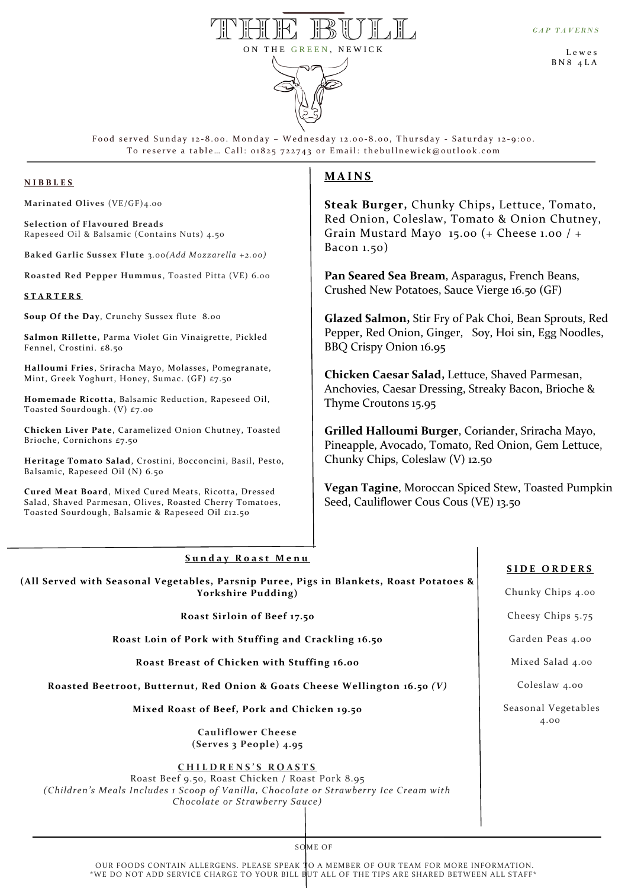

L e w e s B N 8 4 L A



Food served Sunday 12-8.00. Monday - Wednesday 12.00-8.00, Thursday - Saturday 12-9:00. To reserve a table ... Call: 01825 722743 or Email: thebullnewick@outlook.com

# **N I B B L E S**

t **Marinated Olives** (VE/GF)4.00

**Selection of Flavoured Breads** Rapeseed Oil & Balsamic (Contains Nuts) 4.50

**Baked Garlic Sussex Flute** 3.00*(Add Mozzarella +2.00)*

**Roasted Red Pepper Hummus** , Toasted Pitta (VE) 6.00

#### **S T A R T E R S**

p **Soup Of the Day**, Crunchy Sussex flute 8.00

**Salmon Rillette,** Parma Violet Gin Vinaigrette, Pickled Fennel, Crostini. £8.50

**Halloumi Fries**, Sriracha Mayo, Molasses, Pomegranate, Mint, Greek Yoghurt, Honey, Sumac. (GF) £7.50

**Homemade Ricotta**, Balsamic Reduction, Rapeseed Oil, Toasted Sourdough. (V) £7.00

**Chicken Liver Pate**, Caramelized Onion Chutney, Toasted Brioche, Cornichons £7.50

**Heritage Tomato Salad**, Crostini, Bocconcini, Basil, Pesto, Balsamic, Rapeseed Oil (N) 6.50

**Cured Meat Board**, Mixed Cured Meats, Ricotta, Dressed Salad, Shaved Parmesan, Olives, Roasted Cherry Tomatoes, Toasted Sourdough, Balsamic & Rapeseed Oil £12.50

# **M A I N S**

**Steak Burger,** Chunky Chips**,** Lettuce, Tomato, Red Onion, Coleslaw, Tomato & Onion Chutney, Grain Mustard Mayo 15.00 (+ Cheese 1.00 / + Bacon 1.50)

**Pan Seared Sea Bream**, Asparagus, French Beans, Crushed New Potatoes, Sauce Vierge 16.50 (GF)

**Glazed Salmon,** Stir Fry of Pak Choi, Bean Sprouts, Red Pepper, Red Onion, Ginger, Soy, Hoi sin, Egg Noodles, BBQ Crispy Onion 16.95

**Chicken Caesar Salad,** Lettuce, Shaved Parmesan, Anchovies, Caesar Dressing, Streaky Bacon, Brioche & Thyme Croutons 15.95

**Grilled Halloumi Burger**, Coriander, Sriracha Mayo, Pineapple, Avocado, Tomato, Red Onion, Gem Lettuce, Chunky Chips, Coleslaw (V) 12.50

**Vegan Tagine**, Moroccan Spiced Stew, Toasted Pumpkin Seed, Cauliflower Cous Cous (VE) 13.50

### Sunday Roast Menu

**(All Served with Seasonal Vegetables, Parsnip Puree, Pigs in Blankets, Roast Potatoes & Yorkshire Pudding)**

# **Roast Sirloin of Beef 17.50**

**Roast Loin of Pork with Stuffing and Crackling 16.50**

**Roast Breast of Chicken with Stuffing 16.00**

 **Roasted Beetroot, Butternut, Red Onion & Goats Cheese Wellington 16.50** *(V)*

**Mixed Roast of Beef, Pork and Chicken 19.50**

**Cauliflower Cheese (Serves 3 People) 4.95**

# **C H I L D R E N S ' S R O A S T S**

Roast Beef 9.50, Roast Chicken / Roast Pork 8.95 *(Children's Meals Includes 1 Scoop of Vanilla, Chocolate or Strawberry Ice Cream with Chocolate or Strawberry Sauce)*

# **S I D E O R D E R S**

Chunky Chips 4.00

Cheesy Chips 5.75

Garden Peas 4.00

Mixed Salad 4.00

Coleslaw 4.00

Seasonal Vegetables 4.00

SOME OF